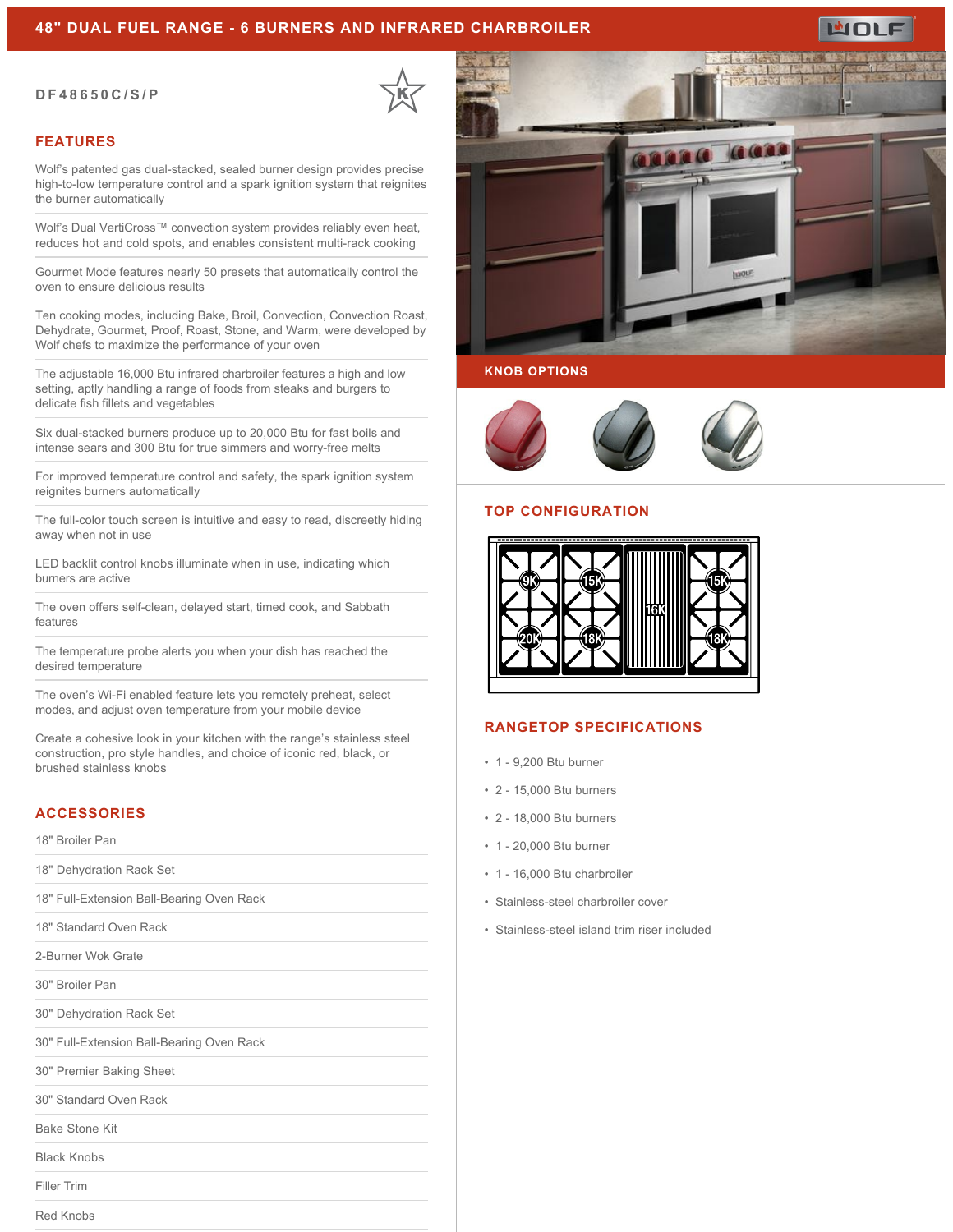# **48" DUAL FUEL RANGE - 6 BURNERS AND INFRARED CHARBROILER**

#### **DF48650C/S/P**

# **FEATURES**

Wolf's patented gas dual-stacked, sealed burner design provides precise high-to-low temperature control and a spark ignition system that reignites the burner automatically

Wolf's Dual VertiCross™ convection system provides reliably even heat, reduces hot and cold spots, and enables consistent multi-rack cooking

Gourmet Mode features nearly 50 presets that automatically control the oven to ensure delicious results

Ten cooking modes, including Bake, Broil, Convection, Convection Roast, Dehydrate, Gourmet, Proof, Roast, Stone, and Warm, were developed by Wolf chefs to maximize the performance of your oven

The adjustable 16,000 Btu infrared charbroiler features a high and low setting, aptly handling a range of foods from steaks and burgers to delicate fish fillets and vegetables

Six dual-stacked burners produce up to 20,000 Btu for fast boils and intense sears and 300 Btu for true simmers and worry-free melts

For improved temperature control and safety, the spark ignition system reignites burners automatically

The full-color touch screen is intuitive and easy to read, discreetly hiding away when not in use

LED backlit control knobs illuminate when in use, indicating which burners are active

The oven offers self-clean, delayed start, timed cook, and Sabbath features

The temperature probe alerts you when your dish has reached the desired temperature

The oven's Wi-Fi enabled feature lets you remotely preheat, select modes, and adjust oven temperature from your mobile device

Create a cohesive look in your kitchen with the range's stainless steel construction, pro style handles, and choice of iconic red, black, or brushed stainless knobs

# **ACCESSORIES**

18" Broiler Pan

18" Dehydration Rack Set

18" Full-Extension Ball-Bearing Oven Rack

18" Standard Oven Rack

2-Burner Wok Grate

30" Broiler Pan

30" Dehydration Rack Set

30" Full-Extension Ball-Bearing Oven Rack

30" Premier Baking Sheet

30" Standard Oven Rack

Bake Stone Kit

Black Knobs

Filler Trim

Red Knobs



## **KNOB OPTIONS**



#### **TOP CONFIGURATION**



# **RANGETOP SPECIFICATIONS**

- 1 9,200 Btu burner
- 2 15,000 Btu burners
- 2 18,000 Btu burners
- 1 20,000 Btu burner
- 1 16,000 Btu charbroiler
- Stainless-steel charbroiler cover
- Stainless-steel island trim riser included



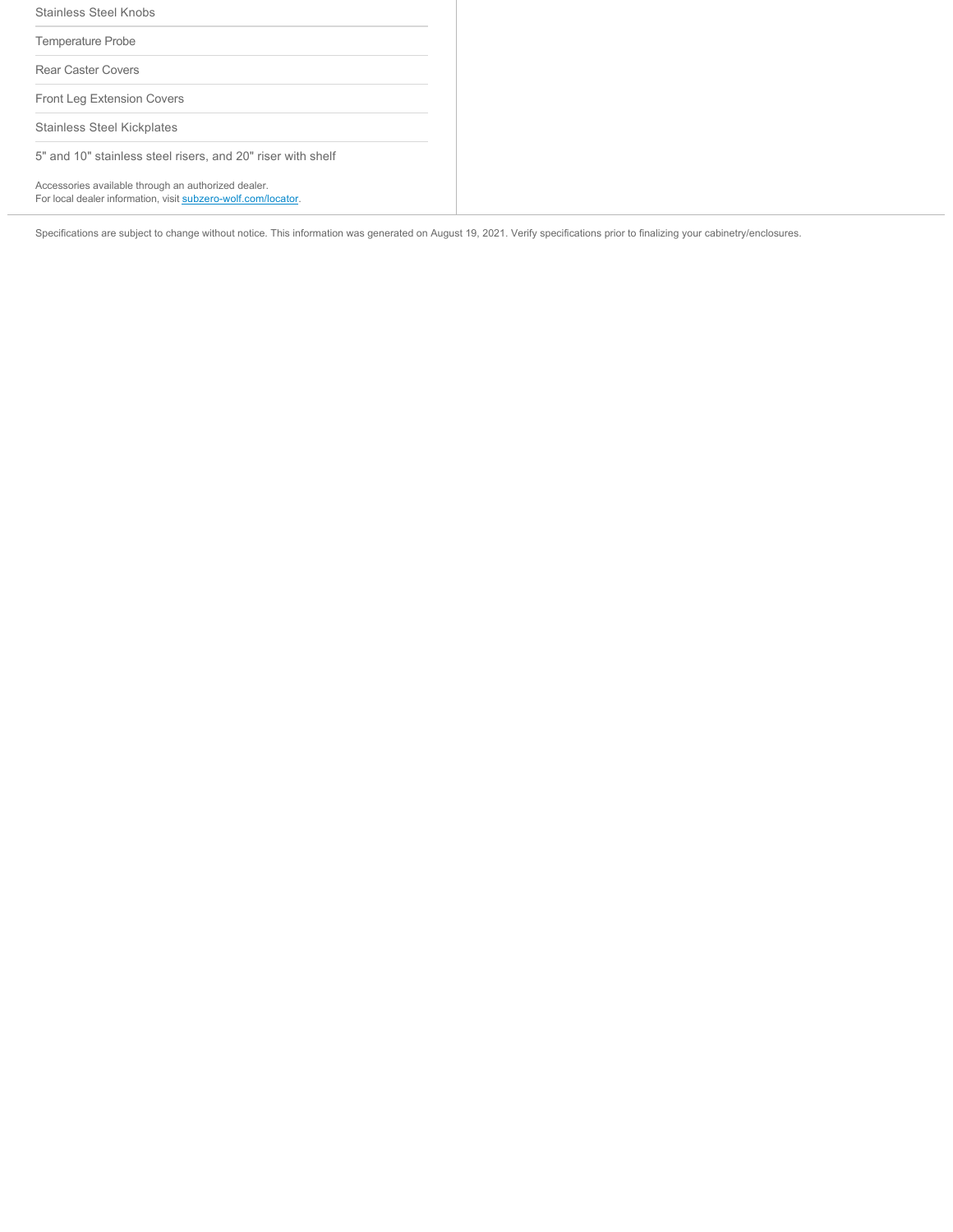| <b>Stainless Steel Knobs</b>                                                                                         |
|----------------------------------------------------------------------------------------------------------------------|
| Temperature Probe                                                                                                    |
| <b>Rear Caster Covers</b>                                                                                            |
| Front Leg Extension Covers                                                                                           |
| <b>Stainless Steel Kickplates</b>                                                                                    |
| 5" and 10" stainless steel risers, and 20" riser with shelf                                                          |
| Accessories available through an authorized dealer.<br>For local dealer information, visit subzero-wolf.com/locator. |

Specifications are subject to change without notice. This information was generated on August 19, 2021. Verify specifications prior to finalizing your cabinetry/enclosures.